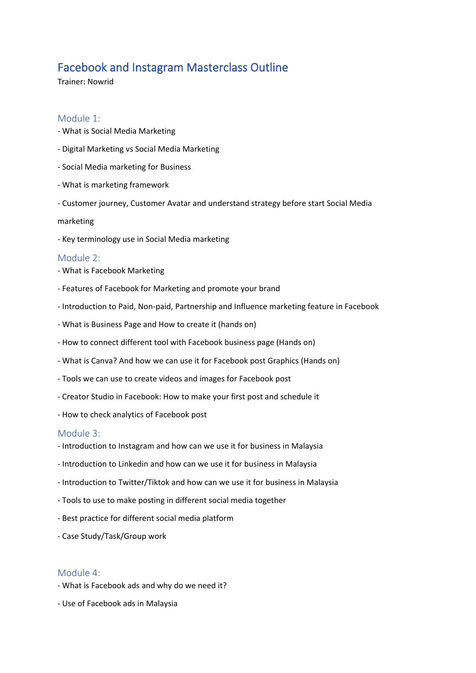# Facebook and Instagram Masterclass Outline

Trainer: Nowrid

## Module 1:

- What is Social Media Marketing
- Digital Marketing vs Social Media Marketing
- Social Media marketing for Business
- What is marketing framework
- Customer journey, Customer Avatar and understand strategy before start Social Media

#### marketing

- Key terminology use in Social Media marketing

### Module 2:

- What is Facebook Marketing
- Features of Facebook for Marketing and promote your brand
- Introduction to Paid, Non-paid, Partnership and Influence marketing feature in Facebook
- What is Business Page and How to create it (hands on)
- How to connect different tool with Facebook business page (Hands on)
- What is Canva? And how we can use it for Facebook post Graphics (Hands on)
- Tools we can use to create videos and images for Facebook post
- Creator Studio in Facebook: How to make your first post and schedule it
- How to check analytics of Facebook post

### Module 3:

- Introduction to Instagram and how can we use it for business in Malaysia
- Introduction to Linkedin and how can we use it for business in Malaysia
- Introduction to Twitter/Tiktok and how can we use it for business in Malaysia
- Tools to use to make posting in different social media together
- Best practice for different social media platform
- Case Study/Task/Group work

### Module 4:

- What is Facebook ads and why do we need it?
- Use of Facebook ads in Malaysia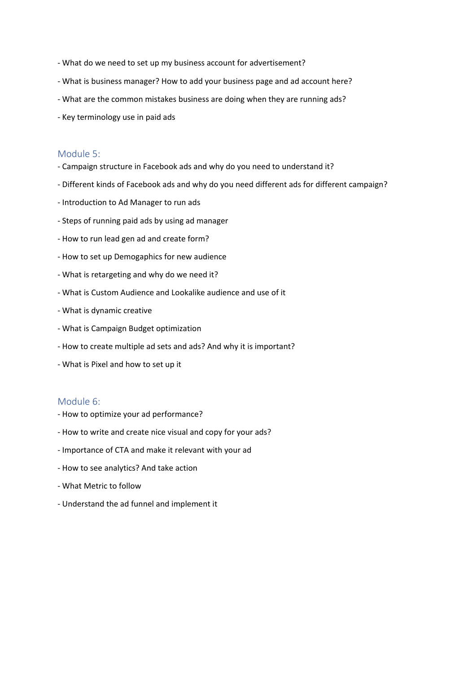- What do we need to set up my business account for advertisement?
- What is business manager? How to add your business page and ad account here?
- What are the common mistakes business are doing when they are running ads?
- Key terminology use in paid ads

#### Module 5:

- Campaign structure in Facebook ads and why do you need to understand it?
- Different kinds of Facebook ads and why do you need different ads for different campaign?
- Introduction to Ad Manager to run ads
- Steps of running paid ads by using ad manager
- How to run lead gen ad and create form?
- How to set up Demogaphics for new audience
- What is retargeting and why do we need it?
- What is Custom Audience and Lookalike audience and use of it
- What is dynamic creative
- What is Campaign Budget optimization
- How to create multiple ad sets and ads? And why it is important?
- What is Pixel and how to set up it

## Module 6:

- How to optimize your ad performance?
- How to write and create nice visual and copy for your ads?
- Importance of CTA and make it relevant with your ad
- How to see analytics? And take action
- What Metric to follow
- Understand the ad funnel and implement it